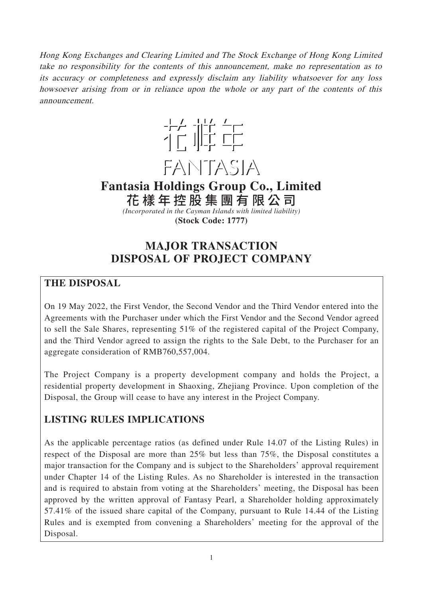Hong Kong Exchanges and Clearing Limited and The Stock Exchange of Hong Kong Limited take no responsibility for the contents of this announcement, make no representation as to its accuracy or completeness and expressly disclaim any liability whatsoever for any loss howsoever arising from or in reliance upon the whole or any part of the contents of this announcement.



**Fantasia Holdings Group Co., Limited** 花樣年控股集團有限公 司

*(Incorporated in the Cayman Islands with limited liability)* **(Stock Code: 1777)**

# **MAJOR TRANSACTION DISPOSAL OF PROJECT COMPANY**

### **THE DISPOSAL**

On 19 May 2022, the First Vendor, the Second Vendor and the Third Vendor entered into the Agreements with the Purchaser under which the First Vendor and the Second Vendor agreed to sell the Sale Shares, representing 51% of the registered capital of the Project Company, and the Third Vendor agreed to assign the rights to the Sale Debt, to the Purchaser for an aggregate consideration of RMB760,557,004.

The Project Company is a property development company and holds the Project, a residential property development in Shaoxing, Zhejiang Province. Upon completion of the Disposal, the Group will cease to have any interest in the Project Company.

# **LISTING RULES IMPLICATIONS**

As the applicable percentage ratios (as defined under Rule 14.07 of the Listing Rules) in respect of the Disposal are more than 25% but less than 75%, the Disposal constitutes a major transaction for the Company and is subject to the Shareholders' approval requirement under Chapter 14 of the Listing Rules. As no Shareholder is interested in the transaction and is required to abstain from voting at the Shareholders' meeting, the Disposal has been approved by the written approval of Fantasy Pearl, a Shareholder holding approximately 57.41% of the issued share capital of the Company, pursuant to Rule 14.44 of the Listing Rules and is exempted from convening a Shareholders' meeting for the approval of the Disposal.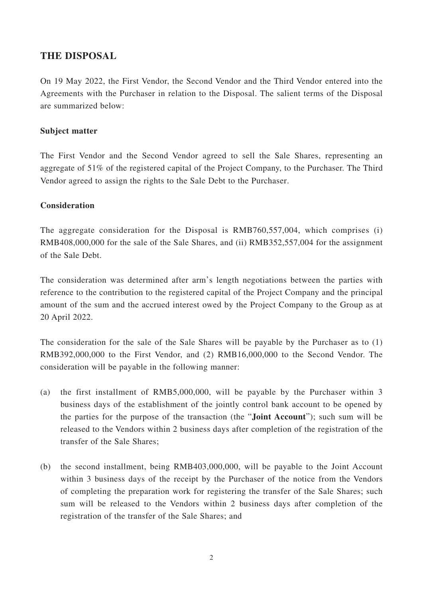### **THE DISPOSAL**

On 19 May 2022, the First Vendor, the Second Vendor and the Third Vendor entered into the Agreements with the Purchaser in relation to the Disposal. The salient terms of the Disposal are summarized below:

#### **Subject matter**

The First Vendor and the Second Vendor agreed to sell the Sale Shares, representing an aggregate of 51% of the registered capital of the Project Company, to the Purchaser. The Third Vendor agreed to assign the rights to the Sale Debt to the Purchaser.

#### **Consideration**

The aggregate consideration for the Disposal is RMB760,557,004, which comprises (i) RMB408,000,000 for the sale of the Sale Shares, and (ii) RMB352,557,004 for the assignment of the Sale Debt.

The consideration was determined after arm's length negotiations between the parties with reference to the contribution to the registered capital of the Project Company and the principal amount of the sum and the accrued interest owed by the Project Company to the Group as at 20 April 2022.

The consideration for the sale of the Sale Shares will be payable by the Purchaser as to (1) RMB392,000,000 to the First Vendor, and (2) RMB16,000,000 to the Second Vendor. The consideration will be payable in the following manner:

- (a) the first installment of RMB5,000,000, will be payable by the Purchaser within 3 business days of the establishment of the jointly control bank account to be opened by the parties for the purpose of the transaction (the "**Joint Account**"); such sum will be released to the Vendors within 2 business days after completion of the registration of the transfer of the Sale Shares;
- (b) the second installment, being RMB403,000,000, will be payable to the Joint Account within 3 business days of the receipt by the Purchaser of the notice from the Vendors of completing the preparation work for registering the transfer of the Sale Shares; such sum will be released to the Vendors within 2 business days after completion of the registration of the transfer of the Sale Shares; and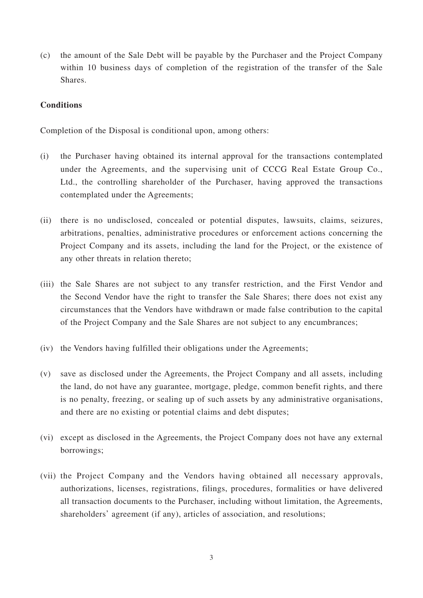(c) the amount of the Sale Debt will be payable by the Purchaser and the Project Company within 10 business days of completion of the registration of the transfer of the Sale Shares.

#### **Conditions**

Completion of the Disposal is conditional upon, among others:

- (i) the Purchaser having obtained its internal approval for the transactions contemplated under the Agreements, and the supervising unit of CCCG Real Estate Group Co., Ltd., the controlling shareholder of the Purchaser, having approved the transactions contemplated under the Agreements;
- (ii) there is no undisclosed, concealed or potential disputes, lawsuits, claims, seizures, arbitrations, penalties, administrative procedures or enforcement actions concerning the Project Company and its assets, including the land for the Project, or the existence of any other threats in relation thereto;
- (iii) the Sale Shares are not subject to any transfer restriction, and the First Vendor and the Second Vendor have the right to transfer the Sale Shares; there does not exist any circumstances that the Vendors have withdrawn or made false contribution to the capital of the Project Company and the Sale Shares are not subject to any encumbrances;
- (iv) the Vendors having fulfilled their obligations under the Agreements;
- (v) save as disclosed under the Agreements, the Project Company and all assets, including the land, do not have any guarantee, mortgage, pledge, common benefit rights, and there is no penalty, freezing, or sealing up of such assets by any administrative organisations, and there are no existing or potential claims and debt disputes;
- (vi) except as disclosed in the Agreements, the Project Company does not have any external borrowings;
- (vii) the Project Company and the Vendors having obtained all necessary approvals, authorizations, licenses, registrations, filings, procedures, formalities or have delivered all transaction documents to the Purchaser, including without limitation, the Agreements, shareholders' agreement (if any), articles of association, and resolutions;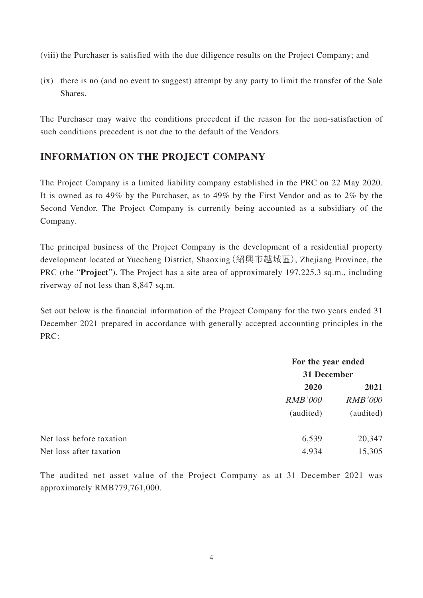(viii) the Purchaser is satisfied with the due diligence results on the Project Company; and

(ix) there is no (and no event to suggest) attempt by any party to limit the transfer of the Sale Shares.

The Purchaser may waive the conditions precedent if the reason for the non-satisfaction of such conditions precedent is not due to the default of the Vendors.

## **INFORMATION ON THE PROJECT COMPANY**

The Project Company is a limited liability company established in the PRC on 22 May 2020. It is owned as to 49% by the Purchaser, as to 49% by the First Vendor and as to 2% by the Second Vendor. The Project Company is currently being accounted as a subsidiary of the Company.

The principal business of the Project Company is the development of a residential property development located at Yuecheng District, Shaoxing(紹興市越城區), Zhejiang Province, the PRC (the "**Project**"). The Project has a site area of approximately 197,225.3 sq.m., including riverway of not less than 8,847 sq.m.

Set out below is the financial information of the Project Company for the two years ended 31 December 2021 prepared in accordance with generally accepted accounting principles in the PRC:

|                          | For the year ended<br>31 December |                |
|--------------------------|-----------------------------------|----------------|
|                          |                                   |                |
|                          | 2020                              | 2021           |
|                          | <b>RMB'000</b>                    | <b>RMB'000</b> |
|                          | (audited)                         | (audited)      |
| Net loss before taxation | 6,539                             | 20,347         |
| Net loss after taxation  | 4,934                             | 15,305         |

The audited net asset value of the Project Company as at 31 December 2021 was approximately RMB779,761,000.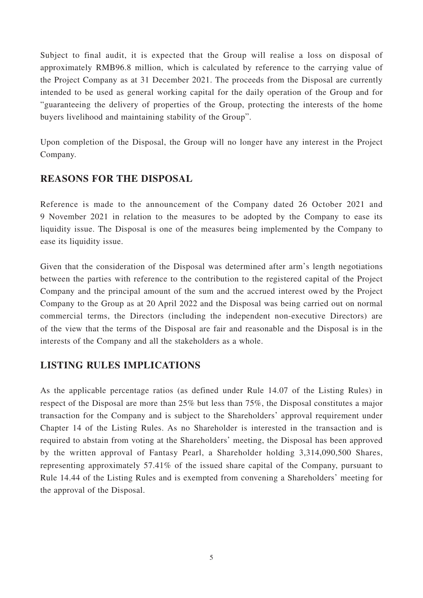Subject to final audit, it is expected that the Group will realise a loss on disposal of approximately RMB96.8 million, which is calculated by reference to the carrying value of the Project Company as at 31 December 2021. The proceeds from the Disposal are currently intended to be used as general working capital for the daily operation of the Group and for "guaranteeing the delivery of properties of the Group, protecting the interests of the home buyers livelihood and maintaining stability of the Group".

Upon completion of the Disposal, the Group will no longer have any interest in the Project Company.

### **REASONS FOR THE DISPOSAL**

Reference is made to the announcement of the Company dated 26 October 2021 and 9 November 2021 in relation to the measures to be adopted by the Company to ease its liquidity issue. The Disposal is one of the measures being implemented by the Company to ease its liquidity issue.

Given that the consideration of the Disposal was determined after arm's length negotiations between the parties with reference to the contribution to the registered capital of the Project Company and the principal amount of the sum and the accrued interest owed by the Project Company to the Group as at 20 April 2022 and the Disposal was being carried out on normal commercial terms, the Directors (including the independent non-executive Directors) are of the view that the terms of the Disposal are fair and reasonable and the Disposal is in the interests of the Company and all the stakeholders as a whole.

### **LISTING RULES IMPLICATIONS**

As the applicable percentage ratios (as defined under Rule 14.07 of the Listing Rules) in respect of the Disposal are more than 25% but less than 75%, the Disposal constitutes a major transaction for the Company and is subject to the Shareholders' approval requirement under Chapter 14 of the Listing Rules. As no Shareholder is interested in the transaction and is required to abstain from voting at the Shareholders' meeting, the Disposal has been approved by the written approval of Fantasy Pearl, a Shareholder holding 3,314,090,500 Shares, representing approximately 57.41% of the issued share capital of the Company, pursuant to Rule 14.44 of the Listing Rules and is exempted from convening a Shareholders' meeting for the approval of the Disposal.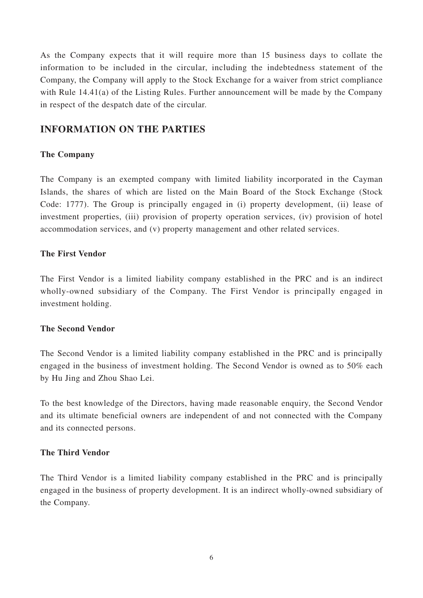As the Company expects that it will require more than 15 business days to collate the information to be included in the circular, including the indebtedness statement of the Company, the Company will apply to the Stock Exchange for a waiver from strict compliance with Rule 14.41(a) of the Listing Rules. Further announcement will be made by the Company in respect of the despatch date of the circular.

### **INFORMATION ON THE PARTIES**

### **The Company**

The Company is an exempted company with limited liability incorporated in the Cayman Islands, the shares of which are listed on the Main Board of the Stock Exchange (Stock Code: 1777). The Group is principally engaged in (i) property development, (ii) lease of investment properties, (iii) provision of property operation services, (iv) provision of hotel accommodation services, and (v) property management and other related services.

### **The First Vendor**

The First Vendor is a limited liability company established in the PRC and is an indirect wholly-owned subsidiary of the Company. The First Vendor is principally engaged in investment holding.

#### **The Second Vendor**

The Second Vendor is a limited liability company established in the PRC and is principally engaged in the business of investment holding. The Second Vendor is owned as to 50% each by Hu Jing and Zhou Shao Lei.

To the best knowledge of the Directors, having made reasonable enquiry, the Second Vendor and its ultimate beneficial owners are independent of and not connected with the Company and its connected persons.

### **The Third Vendor**

The Third Vendor is a limited liability company established in the PRC and is principally engaged in the business of property development. It is an indirect wholly-owned subsidiary of the Company.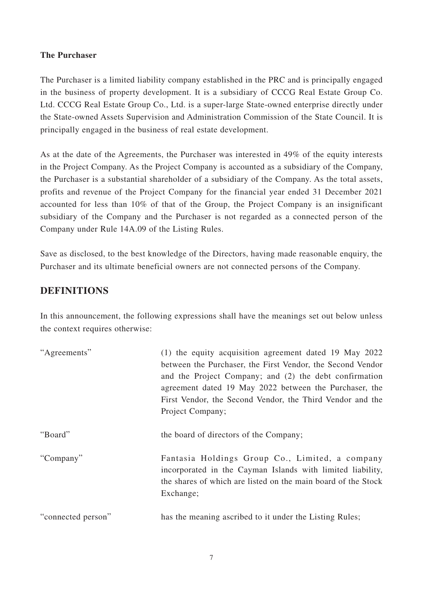### **The Purchaser**

The Purchaser is a limited liability company established in the PRC and is principally engaged in the business of property development. It is a subsidiary of CCCG Real Estate Group Co. Ltd. CCCG Real Estate Group Co., Ltd. is a super-large State-owned enterprise directly under the State-owned Assets Supervision and Administration Commission of the State Council. It is principally engaged in the business of real estate development.

As at the date of the Agreements, the Purchaser was interested in 49% of the equity interests in the Project Company. As the Project Company is accounted as a subsidiary of the Company, the Purchaser is a substantial shareholder of a subsidiary of the Company. As the total assets, profits and revenue of the Project Company for the financial year ended 31 December 2021 accounted for less than 10% of that of the Group, the Project Company is an insignificant subsidiary of the Company and the Purchaser is not regarded as a connected person of the Company under Rule 14A.09 of the Listing Rules.

Save as disclosed, to the best knowledge of the Directors, having made reasonable enquiry, the Purchaser and its ultimate beneficial owners are not connected persons of the Company.

### **DEFINITIONS**

In this announcement, the following expressions shall have the meanings set out below unless the context requires otherwise:

| "Agreements"       | (1) the equity acquisition agreement dated 19 May 2022<br>between the Purchaser, the First Vendor, the Second Vendor<br>and the Project Company; and (2) the debt confirmation<br>agreement dated 19 May 2022 between the Purchaser, the<br>First Vendor, the Second Vendor, the Third Vendor and the<br>Project Company; |
|--------------------|---------------------------------------------------------------------------------------------------------------------------------------------------------------------------------------------------------------------------------------------------------------------------------------------------------------------------|
| "Board"            | the board of directors of the Company;                                                                                                                                                                                                                                                                                    |
| "Company"          | Fantasia Holdings Group Co., Limited, a company<br>incorporated in the Cayman Islands with limited liability,<br>the shares of which are listed on the main board of the Stock<br>Exchange;                                                                                                                               |
| "connected person" | has the meaning ascribed to it under the Listing Rules;                                                                                                                                                                                                                                                                   |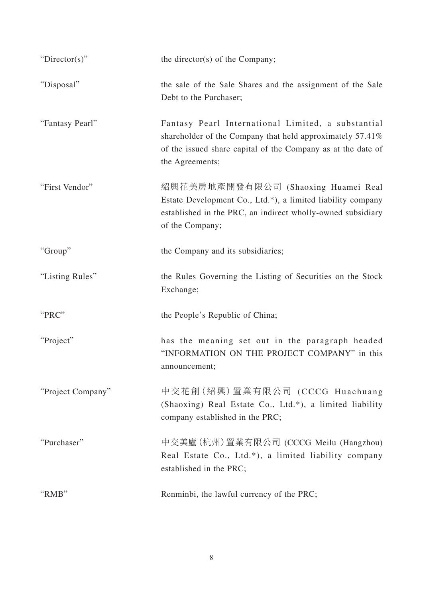| "Director(s)"     | the director(s) of the Company;                                                                                                                                                                    |
|-------------------|----------------------------------------------------------------------------------------------------------------------------------------------------------------------------------------------------|
| "Disposal"        | the sale of the Sale Shares and the assignment of the Sale<br>Debt to the Purchaser;                                                                                                               |
| "Fantasy Pearl"   | Fantasy Pearl International Limited, a substantial<br>shareholder of the Company that held approximately 57.41%<br>of the issued share capital of the Company as at the date of<br>the Agreements; |
| "First Vendor"    | 紹興花美房地產開發有限公司 (Shaoxing Huamei Real<br>Estate Development Co., Ltd.*), a limited liability company<br>established in the PRC, an indirect wholly-owned subsidiary<br>of the Company;               |
| "Group"           | the Company and its subsidiaries;                                                                                                                                                                  |
| "Listing Rules"   | the Rules Governing the Listing of Securities on the Stock<br>Exchange;                                                                                                                            |
| "PRC"             | the People's Republic of China;                                                                                                                                                                    |
| "Project"         | has the meaning set out in the paragraph headed<br>"INFORMATION ON THE PROJECT COMPANY" in this<br>announcement;                                                                                   |
| "Project Company" | 中交花創(紹興)置業有限公司 (CCCG Huachuang<br>(Shaoxing) Real Estate Co., Ltd.*), a limited liability<br>company established in the PRC;                                                                       |
| "Purchaser"       | 中交美廬(杭州) 置業有限公司 (CCCG Meilu (Hangzhou)<br>Real Estate Co., Ltd.*), a limited liability company<br>established in the PRC;                                                                          |
| "RMB"             | Renminbi, the lawful currency of the PRC;                                                                                                                                                          |